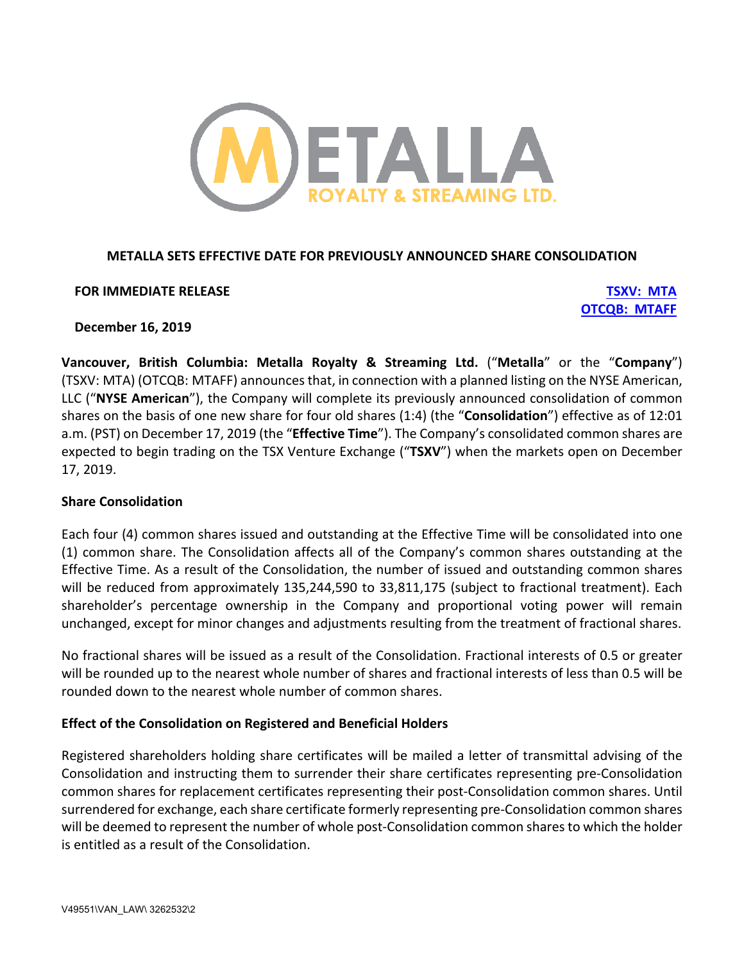

# **METALLA SETS EFFECTIVE DATE FOR PREVIOUSLY ANNOUNCED SHARE CONSOLIDATION**

### **FOR IMMEDIATE RELEASE TSXV: MTA**

**OTCQB: MTAFF**

### **December 16, 2019**

**Vancouver, British Columbia: Metalla Royalty & Streaming Ltd.** ("**Metalla**" or the "**Company**") (TSXV: MTA) (OTCQB: MTAFF) announces that, in connection with a planned listing on the NYSE American, LLC ("**NYSE American**"), the Company will complete its previously announced consolidation of common shares on the basis of one new share for four old shares (1:4) (the "**Consolidation**") effective as of 12:01 a.m. (PST) on December 17, 2019 (the "**Effective Time**"). The Company's consolidated common shares are expected to begin trading on the TSX Venture Exchange ("**TSXV**") when the markets open on December 17, 2019.

# **Share Consolidation**

Each four (4) common shares issued and outstanding at the Effective Time will be consolidated into one (1) common share. The Consolidation affects all of the Company's common shares outstanding at the Effective Time. As a result of the Consolidation, the number of issued and outstanding common shares will be reduced from approximately 135,244,590 to 33,811,175 (subject to fractional treatment). Each shareholder's percentage ownership in the Company and proportional voting power will remain unchanged, except for minor changes and adjustments resulting from the treatment of fractional shares.

No fractional shares will be issued as a result of the Consolidation. Fractional interests of 0.5 or greater will be rounded up to the nearest whole number of shares and fractional interests of less than 0.5 will be rounded down to the nearest whole number of common shares.

# **Effect of the Consolidation on Registered and Beneficial Holders**

Registered shareholders holding share certificates will be mailed a letter of transmittal advising of the Consolidation and instructing them to surrender their share certificates representing pre-Consolidation common shares for replacement certificates representing their post-Consolidation common shares. Until surrendered for exchange, each share certificate formerly representing pre-Consolidation common shares will be deemed to represent the number of whole post-Consolidation common shares to which the holder is entitled as a result of the Consolidation.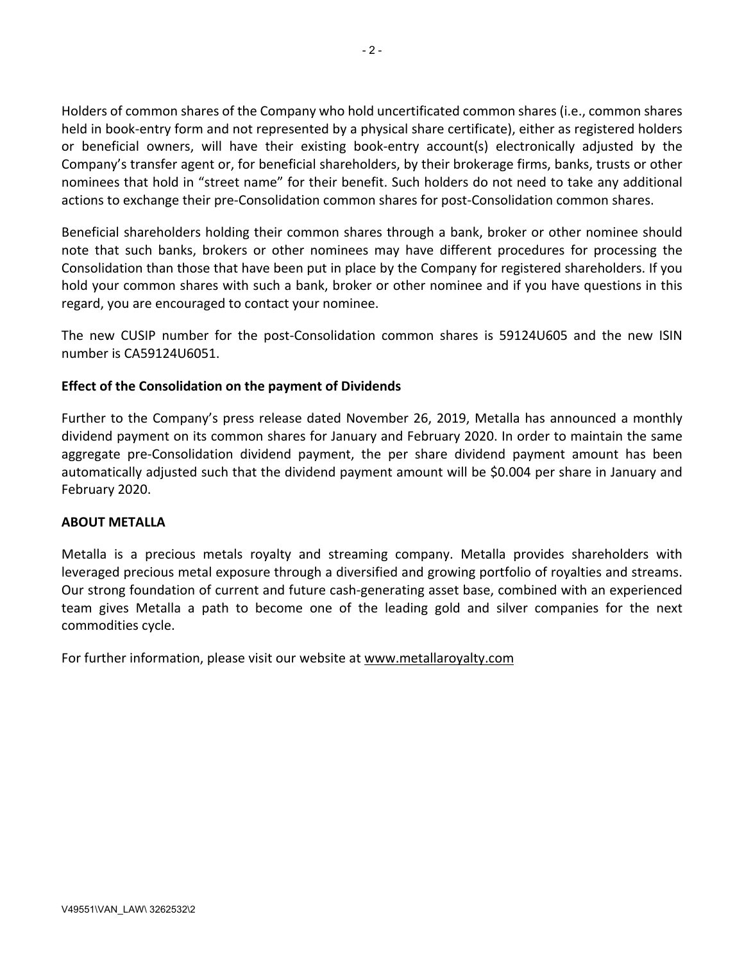Holders of common shares of the Company who hold uncertificated common shares (i.e., common shares held in book-entry form and not represented by a physical share certificate), either as registered holders or beneficial owners, will have their existing book-entry account(s) electronically adjusted by the Company's transfer agent or, for beneficial shareholders, by their brokerage firms, banks, trusts or other nominees that hold in "street name" for their benefit. Such holders do not need to take any additional actions to exchange their pre-Consolidation common shares for post-Consolidation common shares.

Beneficial shareholders holding their common shares through a bank, broker or other nominee should note that such banks, brokers or other nominees may have different procedures for processing the Consolidation than those that have been put in place by the Company for registered shareholders. If you hold your common shares with such a bank, broker or other nominee and if you have questions in this regard, you are encouraged to contact your nominee.

The new CUSIP number for the post-Consolidation common shares is 59124U605 and the new ISIN number is CA59124U6051.

# **Effect of the Consolidation on the payment of Dividends**

Further to the Company's press release dated November 26, 2019, Metalla has announced a monthly dividend payment on its common shares for January and February 2020. In order to maintain the same aggregate pre-Consolidation dividend payment, the per share dividend payment amount has been automatically adjusted such that the dividend payment amount will be \$0.004 per share in January and February 2020.

# **ABOUT METALLA**

Metalla is a precious metals royalty and streaming company. Metalla provides shareholders with leveraged precious metal exposure through a diversified and growing portfolio of royalties and streams. Our strong foundation of current and future cash-generating asset base, combined with an experienced team gives Metalla a path to become one of the leading gold and silver companies for the next commodities cycle.

For further information, please visit our website at www.metallaroyalty.com